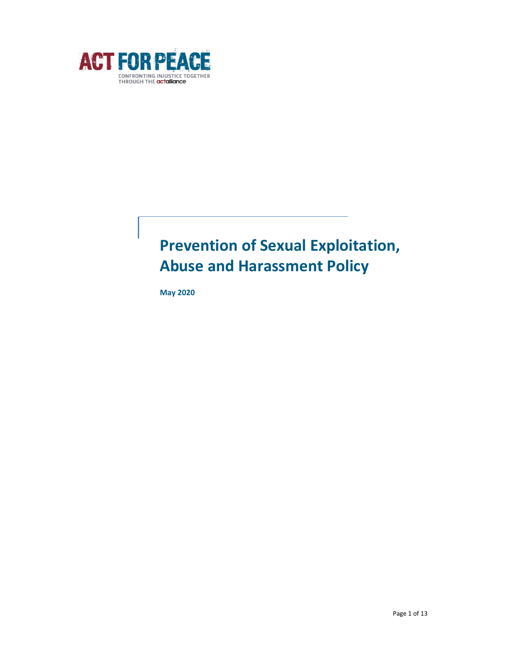

# Prevention of Sexual Exploitation, Abuse and Harassment Policy

May 2020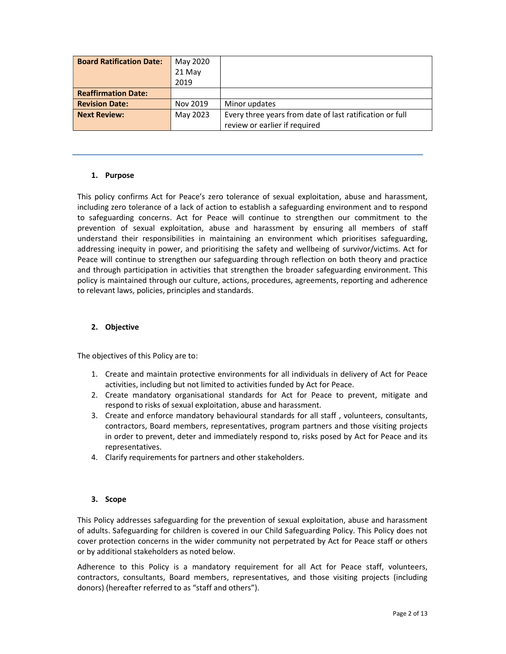| <b>Board Ratification Date:</b> | May 2020 |                                                          |
|---------------------------------|----------|----------------------------------------------------------|
|                                 | 21 May   |                                                          |
|                                 | 2019     |                                                          |
| <b>Reaffirmation Date:</b>      |          |                                                          |
| <b>Revision Date:</b>           | Nov 2019 | Minor updates                                            |
| <b>Next Review:</b>             | May 2023 | Every three years from date of last ratification or full |
|                                 |          | review or earlier if required                            |

# 1. Purpose

This policy confirms Act for Peace's zero tolerance of sexual exploitation, abuse and harassment, including zero tolerance of a lack of action to establish a safeguarding environment and to respond to safeguarding concerns. Act for Peace will continue to strengthen our commitment to the prevention of sexual exploitation, abuse and harassment by ensuring all members of staff understand their responsibilities in maintaining an environment which prioritises safeguarding, addressing inequity in power, and prioritising the safety and wellbeing of survivor/victims. Act for Peace will continue to strengthen our safeguarding through reflection on both theory and practice and through participation in activities that strengthen the broader safeguarding environment. This policy is maintained through our culture, actions, procedures, agreements, reporting and adherence to relevant laws, policies, principles and standards.

# 2. Objective

The objectives of this Policy are to:

- 1. Create and maintain protective environments for all individuals in delivery of Act for Peace activities, including but not limited to activities funded by Act for Peace.
- 2. Create mandatory organisational standards for Act for Peace to prevent, mitigate and respond to risks of sexual exploitation, abuse and harassment.
- 3. Create and enforce mandatory behavioural standards for all staff , volunteers, consultants, contractors, Board members, representatives, program partners and those visiting projects in order to prevent, deter and immediately respond to, risks posed by Act for Peace and its representatives.
- 4. Clarify requirements for partners and other stakeholders.

#### 3. Scope

This Policy addresses safeguarding for the prevention of sexual exploitation, abuse and harassment of adults. Safeguarding for children is covered in our Child Safeguarding Policy. This Policy does not cover protection concerns in the wider community not perpetrated by Act for Peace staff or others or by additional stakeholders as noted below.

Adherence to this Policy is a mandatory requirement for all Act for Peace staff, volunteers, contractors, consultants, Board members, representatives, and those visiting projects (including donors) (hereafter referred to as "staff and others").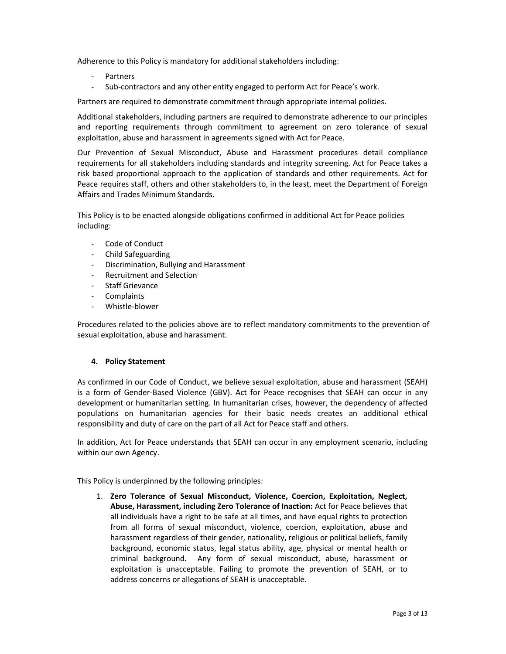Adherence to this Policy is mandatory for additional stakeholders including:

- **Partners**
- Sub-contractors and any other entity engaged to perform Act for Peace's work.

Partners are required to demonstrate commitment through appropriate internal policies.

Additional stakeholders, including partners are required to demonstrate adherence to our principles and reporting requirements through commitment to agreement on zero tolerance of sexual exploitation, abuse and harassment in agreements signed with Act for Peace.

Our Prevention of Sexual Misconduct, Abuse and Harassment procedures detail compliance requirements for all stakeholders including standards and integrity screening. Act for Peace takes a risk based proportional approach to the application of standards and other requirements. Act for Peace requires staff, others and other stakeholders to, in the least, meet the Department of Foreign Affairs and Trades Minimum Standards.

This Policy is to be enacted alongside obligations confirmed in additional Act for Peace policies including:

- Code of Conduct
- Child Safeguarding
- Discrimination, Bullying and Harassment
- Recruitment and Selection
- Staff Grievance
- **Complaints**
- Whistle-blower

Procedures related to the policies above are to reflect mandatory commitments to the prevention of sexual exploitation, abuse and harassment.

# 4. Policy Statement

As confirmed in our Code of Conduct, we believe sexual exploitation, abuse and harassment (SEAH) is a form of Gender-Based Violence (GBV). Act for Peace recognises that SEAH can occur in any development or humanitarian setting. In humanitarian crises, however, the dependency of affected populations on humanitarian agencies for their basic needs creates an additional ethical responsibility and duty of care on the part of all Act for Peace staff and others.

In addition, Act for Peace understands that SEAH can occur in any employment scenario, including within our own Agency.

This Policy is underpinned by the following principles:

1. Zero Tolerance of Sexual Misconduct, Violence, Coercion, Exploitation, Neglect, Abuse, Harassment, including Zero Tolerance of Inaction: Act for Peace believes that all individuals have a right to be safe at all times, and have equal rights to protection from all forms of sexual misconduct, violence, coercion, exploitation, abuse and harassment regardless of their gender, nationality, religious or political beliefs, family background, economic status, legal status ability, age, physical or mental health or criminal background. Any form of sexual misconduct, abuse, harassment or exploitation is unacceptable. Failing to promote the prevention of SEAH, or to address concerns or allegations of SEAH is unacceptable.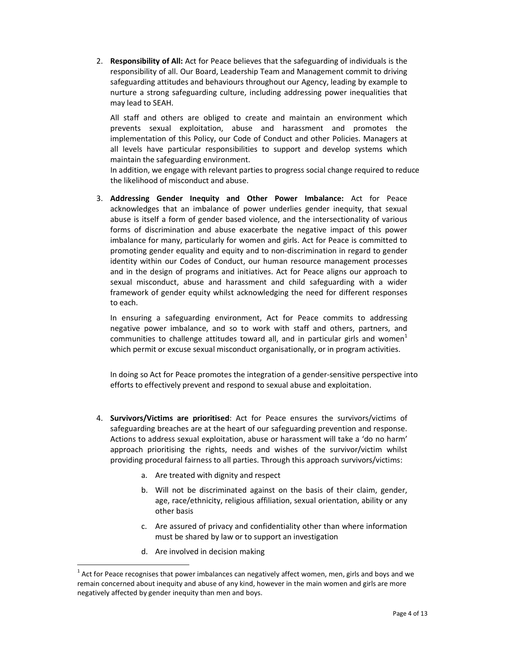2. Responsibility of All: Act for Peace believes that the safeguarding of individuals is the responsibility of all. Our Board, Leadership Team and Management commit to driving safeguarding attitudes and behaviours throughout our Agency, leading by example to nurture a strong safeguarding culture, including addressing power inequalities that may lead to SEAH.

All staff and others are obliged to create and maintain an environment which prevents sexual exploitation, abuse and harassment and promotes the implementation of this Policy, our Code of Conduct and other Policies. Managers at all levels have particular responsibilities to support and develop systems which maintain the safeguarding environment.

In addition, we engage with relevant parties to progress social change required to reduce the likelihood of misconduct and abuse.

3. Addressing Gender Inequity and Other Power Imbalance: Act for Peace acknowledges that an imbalance of power underlies gender inequity, that sexual abuse is itself a form of gender based violence, and the intersectionality of various forms of discrimination and abuse exacerbate the negative impact of this power imbalance for many, particularly for women and girls. Act for Peace is committed to promoting gender equality and equity and to non-discrimination in regard to gender identity within our Codes of Conduct, our human resource management processes and in the design of programs and initiatives. Act for Peace aligns our approach to sexual misconduct, abuse and harassment and child safeguarding with a wider framework of gender equity whilst acknowledging the need for different responses to each.

In ensuring a safeguarding environment, Act for Peace commits to addressing negative power imbalance, and so to work with staff and others, partners, and communities to challenge attitudes toward all, and in particular girls and women<sup>1</sup> which permit or excuse sexual misconduct organisationally, or in program activities.

In doing so Act for Peace promotes the integration of a gender-sensitive perspective into efforts to effectively prevent and respond to sexual abuse and exploitation.

- 4. Survivors/Victims are prioritised: Act for Peace ensures the survivors/victims of safeguarding breaches are at the heart of our safeguarding prevention and response. Actions to address sexual exploitation, abuse or harassment will take a 'do no harm' approach prioritising the rights, needs and wishes of the survivor/victim whilst providing procedural fairness to all parties. Through this approach survivors/victims:
	- a. Are treated with dignity and respect
	- b. Will not be discriminated against on the basis of their claim, gender, age, race/ethnicity, religious affiliation, sexual orientation, ability or any other basis
	- c. Are assured of privacy and confidentiality other than where information must be shared by law or to support an investigation
	- d. Are involved in decision making

 $^1$  Act for Peace recognises that power imbalances can negatively affect women, men, girls and boys and we remain concerned about inequity and abuse of any kind, however in the main women and girls are more negatively affected by gender inequity than men and boys.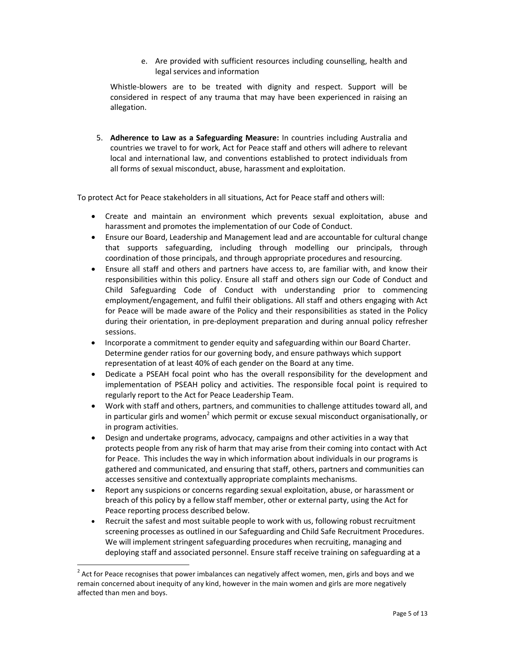e. Are provided with sufficient resources including counselling, health and legal services and information

Whistle-blowers are to be treated with dignity and respect. Support will be considered in respect of any trauma that may have been experienced in raising an allegation.

5. Adherence to Law as a Safeguarding Measure: In countries including Australia and countries we travel to for work, Act for Peace staff and others will adhere to relevant local and international law, and conventions established to protect individuals from all forms of sexual misconduct, abuse, harassment and exploitation.

To protect Act for Peace stakeholders in all situations, Act for Peace staff and others will:

- Create and maintain an environment which prevents sexual exploitation, abuse and harassment and promotes the implementation of our Code of Conduct.
- Ensure our Board, Leadership and Management lead and are accountable for cultural change that supports safeguarding, including through modelling our principals, through coordination of those principals, and through appropriate procedures and resourcing.
- Ensure all staff and others and partners have access to, are familiar with, and know their responsibilities within this policy. Ensure all staff and others sign our Code of Conduct and Child Safeguarding Code of Conduct with understanding prior to commencing employment/engagement, and fulfil their obligations. All staff and others engaging with Act for Peace will be made aware of the Policy and their responsibilities as stated in the Policy during their orientation, in pre-deployment preparation and during annual policy refresher sessions.
- Incorporate a commitment to gender equity and safeguarding within our Board Charter. Determine gender ratios for our governing body, and ensure pathways which support representation of at least 40% of each gender on the Board at any time.
- Dedicate a PSEAH focal point who has the overall responsibility for the development and implementation of PSEAH policy and activities. The responsible focal point is required to regularly report to the Act for Peace Leadership Team.
- Work with staff and others, partners, and communities to challenge attitudes toward all, and in particular girls and women<sup>2</sup> which permit or excuse sexual misconduct organisationally, or in program activities.
- Design and undertake programs, advocacy, campaigns and other activities in a way that protects people from any risk of harm that may arise from their coming into contact with Act for Peace. This includes the way in which information about individuals in our programs is gathered and communicated, and ensuring that staff, others, partners and communities can accesses sensitive and contextually appropriate complaints mechanisms.
- Report any suspicions or concerns regarding sexual exploitation, abuse, or harassment or breach of this policy by a fellow staff member, other or external party, using the Act for Peace reporting process described below.
- Recruit the safest and most suitable people to work with us, following robust recruitment screening processes as outlined in our Safeguarding and Child Safe Recruitment Procedures. We will implement stringent safeguarding procedures when recruiting, managing and deploying staff and associated personnel. Ensure staff receive training on safeguarding at a

 $^{2}$  Act for Peace recognises that power imbalances can negatively affect women, men, girls and boys and we remain concerned about inequity of any kind, however in the main women and girls are more negatively affected than men and boys.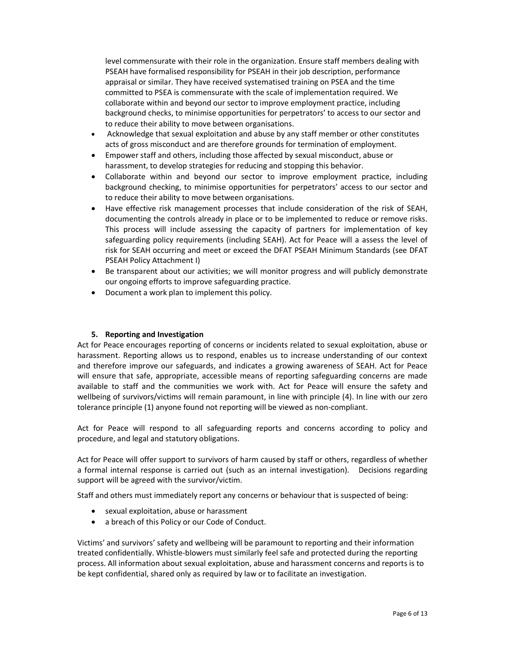level commensurate with their role in the organization. Ensure staff members dealing with PSEAH have formalised responsibility for PSEAH in their job description, performance appraisal or similar. They have received systematised training on PSEA and the time committed to PSEA is commensurate with the scale of implementation required. We collaborate within and beyond our sector to improve employment practice, including background checks, to minimise opportunities for perpetrators' to access to our sector and to reduce their ability to move between organisations.

- Acknowledge that sexual exploitation and abuse by any staff member or other constitutes acts of gross misconduct and are therefore grounds for termination of employment.
- Empower staff and others, including those affected by sexual misconduct, abuse or harassment, to develop strategies for reducing and stopping this behavior.
- Collaborate within and beyond our sector to improve employment practice, including background checking, to minimise opportunities for perpetrators' access to our sector and to reduce their ability to move between organisations.
- Have effective risk management processes that include consideration of the risk of SEAH, documenting the controls already in place or to be implemented to reduce or remove risks. This process will include assessing the capacity of partners for implementation of key safeguarding policy requirements (including SEAH). Act for Peace will a assess the level of risk for SEAH occurring and meet or exceed the DFAT PSEAH Minimum Standards (see DFAT PSEAH Policy Attachment I)
- Be transparent about our activities; we will monitor progress and will publicly demonstrate our ongoing efforts to improve safeguarding practice.
- Document a work plan to implement this policy.

# 5. Reporting and Investigation

Act for Peace encourages reporting of concerns or incidents related to sexual exploitation, abuse or harassment. Reporting allows us to respond, enables us to increase understanding of our context and therefore improve our safeguards, and indicates a growing awareness of SEAH. Act for Peace will ensure that safe, appropriate, accessible means of reporting safeguarding concerns are made available to staff and the communities we work with. Act for Peace will ensure the safety and wellbeing of survivors/victims will remain paramount, in line with principle (4). In line with our zero tolerance principle (1) anyone found not reporting will be viewed as non-compliant.

Act for Peace will respond to all safeguarding reports and concerns according to policy and procedure, and legal and statutory obligations.

Act for Peace will offer support to survivors of harm caused by staff or others, regardless of whether a formal internal response is carried out (such as an internal investigation). Decisions regarding support will be agreed with the survivor/victim.

Staff and others must immediately report any concerns or behaviour that is suspected of being:

- sexual exploitation, abuse or harassment
- a breach of this Policy or our Code of Conduct.

Victims' and survivors' safety and wellbeing will be paramount to reporting and their information treated confidentially. Whistle-blowers must similarly feel safe and protected during the reporting process. All information about sexual exploitation, abuse and harassment concerns and reports is to be kept confidential, shared only as required by law or to facilitate an investigation.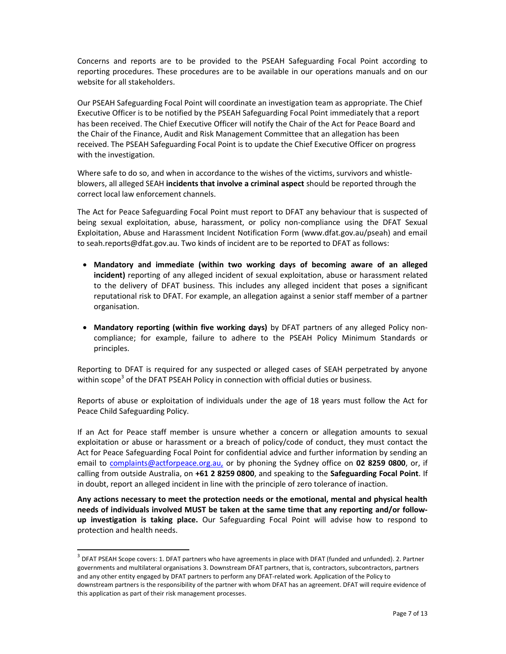Concerns and reports are to be provided to the PSEAH Safeguarding Focal Point according to reporting procedures. These procedures are to be available in our operations manuals and on our website for all stakeholders.

Our PSEAH Safeguarding Focal Point will coordinate an investigation team as appropriate. The Chief Executive Officer is to be notified by the PSEAH Safeguarding Focal Point immediately that a report has been received. The Chief Executive Officer will notify the Chair of the Act for Peace Board and the Chair of the Finance, Audit and Risk Management Committee that an allegation has been received. The PSEAH Safeguarding Focal Point is to update the Chief Executive Officer on progress with the investigation.

Where safe to do so, and when in accordance to the wishes of the victims, survivors and whistleblowers, all alleged SEAH incidents that involve a criminal aspect should be reported through the correct local law enforcement channels.

The Act for Peace Safeguarding Focal Point must report to DFAT any behaviour that is suspected of being sexual exploitation, abuse, harassment, or policy non-compliance using the DFAT Sexual Exploitation, Abuse and Harassment Incident Notification Form (www.dfat.gov.au/pseah) and email to seah.reports@dfat.gov.au. Two kinds of incident are to be reported to DFAT as follows:

- Mandatory and immediate (within two working days of becoming aware of an alleged incident) reporting of any alleged incident of sexual exploitation, abuse or harassment related to the delivery of DFAT business. This includes any alleged incident that poses a significant reputational risk to DFAT. For example, an allegation against a senior staff member of a partner organisation.
- Mandatory reporting (within five working days) by DFAT partners of any alleged Policy noncompliance; for example, failure to adhere to the PSEAH Policy Minimum Standards or principles.

Reporting to DFAT is required for any suspected or alleged cases of SEAH perpetrated by anyone within scope<sup>3</sup> of the DFAT PSEAH Policy in connection with official duties or business.

Reports of abuse or exploitation of individuals under the age of 18 years must follow the Act for Peace Child Safeguarding Policy.

If an Act for Peace staff member is unsure whether a concern or allegation amounts to sexual exploitation or abuse or harassment or a breach of policy/code of conduct, they must contact the Act for Peace Safeguarding Focal Point for confidential advice and further information by sending an email to complaints@actforpeace.org.au, or by phoning the Sydney office on 02 8259 0800, or, if calling from outside Australia, on +61 2 8259 0800, and speaking to the Safeguarding Focal Point. If in doubt, report an alleged incident in line with the principle of zero tolerance of inaction.

Any actions necessary to meet the protection needs or the emotional, mental and physical health needs of individuals involved MUST be taken at the same time that any reporting and/or followup investigation is taking place. Our Safeguarding Focal Point will advise how to respond to protection and health needs.

 $3$  DFAT PSEAH Scope covers: 1. DFAT partners who have agreements in place with DFAT (funded and unfunded). 2. Partner governments and multilateral organisations 3. Downstream DFAT partners, that is, contractors, subcontractors, partners and any other entity engaged by DFAT partners to perform any DFAT-related work. Application of the Policy to downstream partners is the responsibility of the partner with whom DFAT has an agreement. DFAT will require evidence of this application as part of their risk management processes.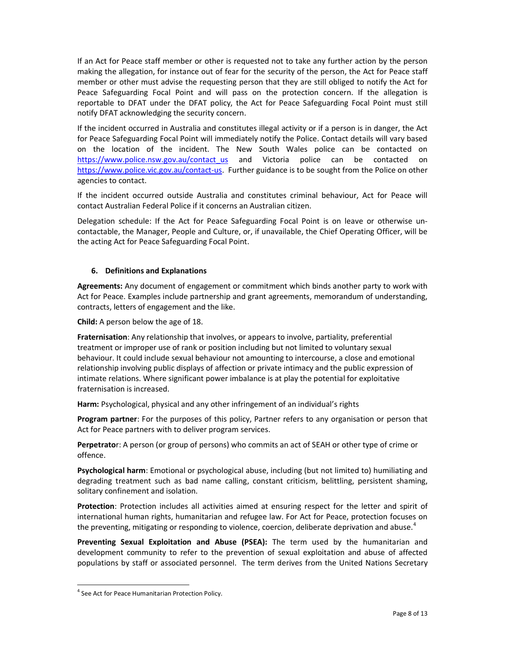If an Act for Peace staff member or other is requested not to take any further action by the person making the allegation, for instance out of fear for the security of the person, the Act for Peace staff member or other must advise the requesting person that they are still obliged to notify the Act for Peace Safeguarding Focal Point and will pass on the protection concern. If the allegation is reportable to DFAT under the DFAT policy, the Act for Peace Safeguarding Focal Point must still notify DFAT acknowledging the security concern.

If the incident occurred in Australia and constitutes illegal activity or if a person is in danger, the Act for Peace Safeguarding Focal Point will immediately notify the Police. Contact details will vary based on the location of the incident. The New South Wales police can be contacted on https://www.police.nsw.gov.au/contact\_us and Victoria police can be contacted on https://www.police.vic.gov.au/contact-us. Further guidance is to be sought from the Police on other agencies to contact.

If the incident occurred outside Australia and constitutes criminal behaviour, Act for Peace will contact Australian Federal Police if it concerns an Australian citizen.

Delegation schedule: If the Act for Peace Safeguarding Focal Point is on leave or otherwise uncontactable, the Manager, People and Culture, or, if unavailable, the Chief Operating Officer, will be the acting Act for Peace Safeguarding Focal Point.

# 6. Definitions and Explanations

Agreements: Any document of engagement or commitment which binds another party to work with Act for Peace. Examples include partnership and grant agreements, memorandum of understanding, contracts, letters of engagement and the like.

Child: A person below the age of 18.

Fraternisation: Any relationship that involves, or appears to involve, partiality, preferential treatment or improper use of rank or position including but not limited to voluntary sexual behaviour. It could include sexual behaviour not amounting to intercourse, a close and emotional relationship involving public displays of affection or private intimacy and the public expression of intimate relations. Where significant power imbalance is at play the potential for exploitative fraternisation is increased.

Harm: Psychological, physical and any other infringement of an individual's rights

Program partner: For the purposes of this policy, Partner refers to any organisation or person that Act for Peace partners with to deliver program services.

Perpetrator: A person (or group of persons) who commits an act of SEAH or other type of crime or offence.

Psychological harm: Emotional or psychological abuse, including (but not limited to) humiliating and degrading treatment such as bad name calling, constant criticism, belittling, persistent shaming, solitary confinement and isolation.

Protection: Protection includes all activities aimed at ensuring respect for the letter and spirit of international human rights, humanitarian and refugee law. For Act for Peace, protection focuses on the preventing, mitigating or responding to violence, coercion, deliberate deprivation and abuse.<sup>4</sup>

Preventing Sexual Exploitation and Abuse (PSEA): The term used by the humanitarian and development community to refer to the prevention of sexual exploitation and abuse of affected populations by staff or associated personnel. The term derives from the United Nations Secretary

<sup>&</sup>lt;sup>4</sup> See Act for Peace Humanitarian Protection Policy.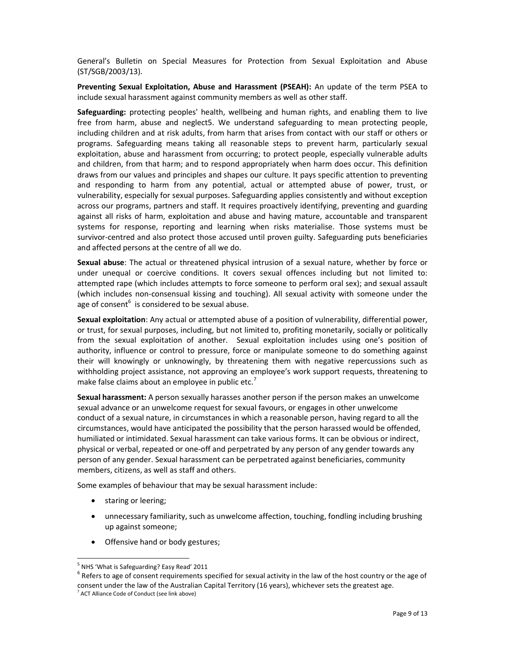General's Bulletin on Special Measures for Protection from Sexual Exploitation and Abuse (ST/SGB/2003/13).

Preventing Sexual Exploitation, Abuse and Harassment (PSEAH): An update of the term PSEA to include sexual harassment against community members as well as other staff.

Safeguarding: protecting peoples' health, wellbeing and human rights, and enabling them to live free from harm, abuse and neglect5. We understand safeguarding to mean protecting people, including children and at risk adults, from harm that arises from contact with our staff or others or programs. Safeguarding means taking all reasonable steps to prevent harm, particularly sexual exploitation, abuse and harassment from occurring; to protect people, especially vulnerable adults and children, from that harm; and to respond appropriately when harm does occur. This definition draws from our values and principles and shapes our culture. It pays specific attention to preventing and responding to harm from any potential, actual or attempted abuse of power, trust, or vulnerability, especially for sexual purposes. Safeguarding applies consistently and without exception across our programs, partners and staff. It requires proactively identifying, preventing and guarding against all risks of harm, exploitation and abuse and having mature, accountable and transparent systems for response, reporting and learning when risks materialise. Those systems must be survivor-centred and also protect those accused until proven guilty. Safeguarding puts beneficiaries and affected persons at the centre of all we do.

Sexual abuse: The actual or threatened physical intrusion of a sexual nature, whether by force or under unequal or coercive conditions. It covers sexual offences including but not limited to: attempted rape (which includes attempts to force someone to perform oral sex); and sexual assault (which includes non-consensual kissing and touching). All sexual activity with someone under the age of consent<sup>6</sup> is considered to be sexual abuse.

Sexual exploitation: Any actual or attempted abuse of a position of vulnerability, differential power, or trust, for sexual purposes, including, but not limited to, profiting monetarily, socially or politically from the sexual exploitation of another. Sexual exploitation includes using one's position of authority, influence or control to pressure, force or manipulate someone to do something against their will knowingly or unknowingly, by threatening them with negative repercussions such as withholding project assistance, not approving an employee's work support requests, threatening to make false claims about an employee in public etc.<sup>7</sup>

Sexual harassment: A person sexually harasses another person if the person makes an unwelcome sexual advance or an unwelcome request for sexual favours, or engages in other unwelcome conduct of a sexual nature, in circumstances in which a reasonable person, having regard to all the circumstances, would have anticipated the possibility that the person harassed would be offended, humiliated or intimidated. Sexual harassment can take various forms. It can be obvious or indirect, physical or verbal, repeated or one-off and perpetrated by any person of any gender towards any person of any gender. Sexual harassment can be perpetrated against beneficiaries, community members, citizens, as well as staff and others.

Some examples of behaviour that may be sexual harassment include:

• staring or leering;

- unnecessary familiarity, such as unwelcome affection, touching, fondling including brushing up against someone;
- Offensive hand or body gestures;

<sup>&</sup>lt;sup>5</sup> NHS 'What is Safeguarding? Easy Read' 2011

 $^6$  Refers to age of consent requirements specified for sexual activity in the law of the host country or the age of consent under the law of the Australian Capital Territory (16 years), whichever sets the greatest age.

<sup>&</sup>lt;sup>7</sup> ACT Alliance Code of Conduct (see link above)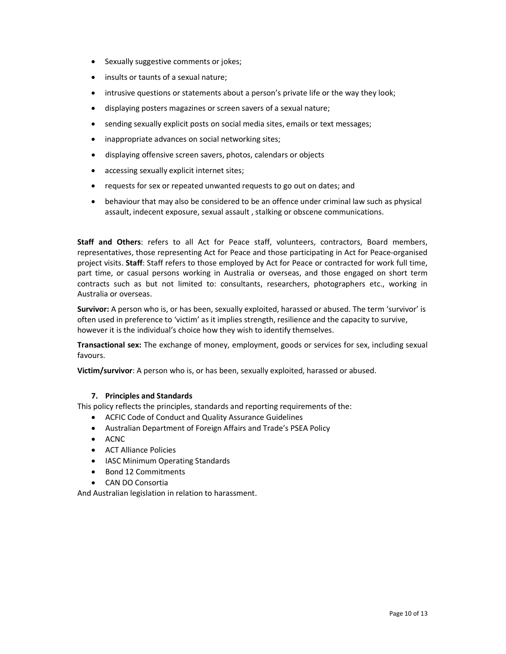- Sexually suggestive comments or jokes;
- insults or taunts of a sexual nature;
- intrusive questions or statements about a person's private life or the way they look;
- displaying posters magazines or screen savers of a sexual nature;
- sending sexually explicit posts on social media sites, emails or text messages;
- inappropriate advances on social networking sites;
- displaying offensive screen savers, photos, calendars or objects
- accessing sexually explicit internet sites;
- requests for sex or repeated unwanted requests to go out on dates; and
- behaviour that may also be considered to be an offence under criminal law such as physical assault, indecent exposure, sexual assault , stalking or obscene communications.

Staff and Others: refers to all Act for Peace staff, volunteers, contractors, Board members, representatives, those representing Act for Peace and those participating in Act for Peace-organised project visits. Staff: Staff refers to those employed by Act for Peace or contracted for work full time, part time, or casual persons working in Australia or overseas, and those engaged on short term contracts such as but not limited to: consultants, researchers, photographers etc., working in Australia or overseas.

Survivor: A person who is, or has been, sexually exploited, harassed or abused. The term 'survivor' is often used in preference to 'victim' as it implies strength, resilience and the capacity to survive, however it is the individual's choice how they wish to identify themselves.

Transactional sex: The exchange of money, employment, goods or services for sex, including sexual favours.

Victim/survivor: A person who is, or has been, sexually exploited, harassed or abused.

# 7. Principles and Standards

This policy reflects the principles, standards and reporting requirements of the:

- ACFIC Code of Conduct and Quality Assurance Guidelines
- Australian Department of Foreign Affairs and Trade's PSEA Policy
- ACNC
- ACT Alliance Policies
- IASC Minimum Operating Standards
- Bond 12 Commitments
- CAN DO Consortia

And Australian legislation in relation to harassment.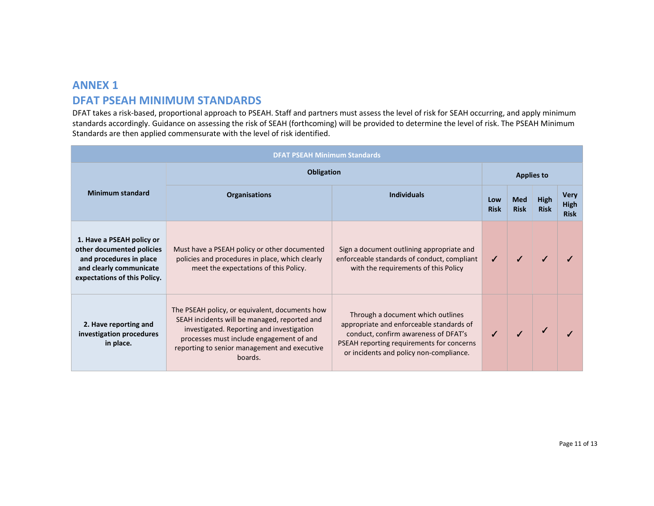# ANNEX 1 DFAT PSEAH MINIMUM STANDARDS

DFAT takes a risk-based, proportional approach to PSEAH. Staff and partners must assess the level of risk for SEAH occurring, and apply minimum standards accordingly. Guidance on assessing the risk of SEAH (forthcoming) will be provided to determine the level of risk. The PSEAH Minimum Standards are then applied commensurate with the level of risk identified.

| <b>DFAT PSEAH Minimum Standards</b>                                                                                                          |                                                                                                                                                                                                                                                    |                                                                                                                                                                                                               |                    |                           |                     |                                           |  |  |
|----------------------------------------------------------------------------------------------------------------------------------------------|----------------------------------------------------------------------------------------------------------------------------------------------------------------------------------------------------------------------------------------------------|---------------------------------------------------------------------------------------------------------------------------------------------------------------------------------------------------------------|--------------------|---------------------------|---------------------|-------------------------------------------|--|--|
|                                                                                                                                              | <b>Obligation</b>                                                                                                                                                                                                                                  |                                                                                                                                                                                                               |                    | <b>Applies to</b>         |                     |                                           |  |  |
| <b>Minimum standard</b>                                                                                                                      | <b>Organisations</b>                                                                                                                                                                                                                               | <b>Individuals</b>                                                                                                                                                                                            | Low<br><b>Risk</b> | <b>Med</b><br><b>Risk</b> | High<br><b>Risk</b> | <b>Very</b><br><b>High</b><br><b>Risk</b> |  |  |
| 1. Have a PSEAH policy or<br>other documented policies<br>and procedures in place<br>and clearly communicate<br>expectations of this Policy. | Must have a PSEAH policy or other documented<br>policies and procedures in place, which clearly<br>meet the expectations of this Policy.                                                                                                           | Sign a document outlining appropriate and<br>enforceable standards of conduct, compliant<br>with the requirements of this Policy                                                                              |                    |                           |                     |                                           |  |  |
| 2. Have reporting and<br>investigation procedures<br>in place.                                                                               | The PSEAH policy, or equivalent, documents how<br>SEAH incidents will be managed, reported and<br>investigated. Reporting and investigation<br>processes must include engagement of and<br>reporting to senior management and executive<br>boards. | Through a document which outlines<br>appropriate and enforceable standards of<br>conduct, confirm awareness of DFAT's<br>PSEAH reporting requirements for concerns<br>or incidents and policy non-compliance. |                    |                           |                     |                                           |  |  |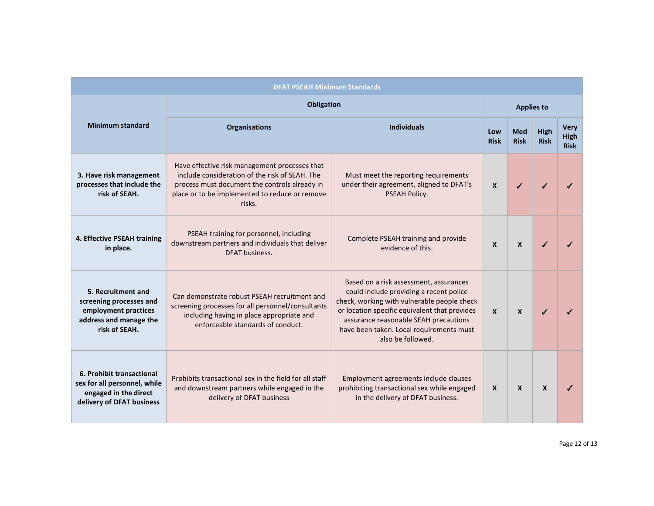| <b>DFAT PSEAH Minimum Standards</b>                                                                              |                                                                                                                                                                                                              |                                                                                                                                                                                                                                                                                             |                    |                           |                            |                                    |  |  |
|------------------------------------------------------------------------------------------------------------------|--------------------------------------------------------------------------------------------------------------------------------------------------------------------------------------------------------------|---------------------------------------------------------------------------------------------------------------------------------------------------------------------------------------------------------------------------------------------------------------------------------------------|--------------------|---------------------------|----------------------------|------------------------------------|--|--|
|                                                                                                                  | <b>Obligation</b>                                                                                                                                                                                            |                                                                                                                                                                                                                                                                                             |                    | <b>Applies to</b>         |                            |                                    |  |  |
| <b>Minimum standard</b>                                                                                          | <b>Organisations</b>                                                                                                                                                                                         | <b>Individuals</b>                                                                                                                                                                                                                                                                          | Low<br><b>Risk</b> | <b>Med</b><br><b>Risk</b> | <b>High</b><br><b>Risk</b> | <b>Verv</b><br>High<br><b>Risk</b> |  |  |
| 3. Have risk management<br>processes that include the<br>risk of SEAH.                                           | Have effective risk management processes that<br>include consideration of the risk of SEAH. The<br>process must document the controls already in<br>place or to be implemented to reduce or remove<br>risks. | Must meet the reporting requirements<br>under their agreement, aligned to DFAT's<br>PSEAH Policy.                                                                                                                                                                                           | $\mathsf{x}$       |                           |                            |                                    |  |  |
| 4. Effective PSEAH training<br>in place.                                                                         | PSEAH training for personnel, including<br>downstream partners and individuals that deliver<br>DFAT business.                                                                                                | Complete PSEAH training and provide<br>evidence of this.                                                                                                                                                                                                                                    | $\mathsf{x}$       | $\mathsf{x}$              |                            |                                    |  |  |
| 5. Recruitment and<br>screening processes and<br>employment practices<br>address and manage the<br>risk of SEAH. | Can demonstrate robust PSEAH recruitment and<br>screening processes for all personnel/consultants<br>including having in place appropriate and<br>enforceable standards of conduct.                          | Based on a risk assessment, assurances<br>could include providing a recent police<br>check, working with vulnerable people check<br>or location specific equivalent that provides<br>assurance reasonable SEAH precautions<br>have been taken. Local requirements must<br>also be followed. | $\mathbf{x}$       | $\mathbf{x}$              |                            |                                    |  |  |
| 6. Prohibit transactional<br>sex for all personnel, while<br>engaged in the direct<br>delivery of DFAT business  | Prohibits transactional sex in the field for all staff<br>and downstream partners while engaged in the<br>delivery of DFAT business                                                                          | Employment agreements include clauses<br>prohibiting transactional sex while engaged<br>in the delivery of DFAT business.                                                                                                                                                                   | X                  | $\mathbf{x}$              | $\mathbf{x}$               | ✔                                  |  |  |